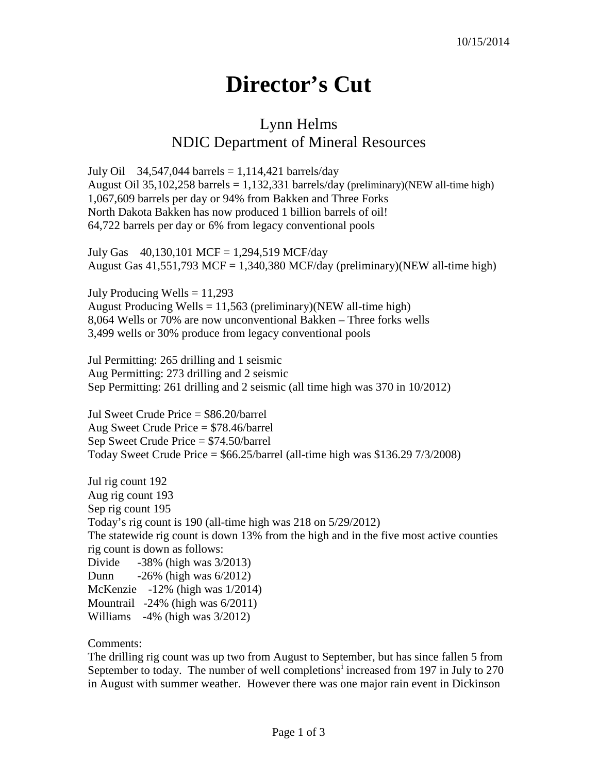## **Director's Cut**

## Lynn Helms NDIC Department of Mineral Resources

July Oil 34,547,044 barrels =  $1,114,421$  barrels/day August Oil 35,102,258 barrels  $= 1,132,331$  barrels/day (preliminary)(NEW all-time high) 1,067,609 barrels per day or 94% from Bakken and Three Forks North Dakota Bakken has now produced 1 billion barrels of oil! 64,722 barrels per day or 6% from legacy conventional pools

July Gas 40,130,101 MCF = 1,294,519 MCF/day August Gas  $41,551,793$  MCF = 1,340,380 MCF/day (preliminary)(NEW all-time high)

July Producing Wells  $= 11,293$ August Producing Wells =  $11,563$  (preliminary)(NEW all-time high) 8,064 Wells or 70% are now unconventional Bakken – Three forks wells 3,499 wells or 30% produce from legacy conventional pools

Jul Permitting: 265 drilling and 1 seismic Aug Permitting: 273 drilling and 2 seismic Sep Permitting: 261 drilling and 2 seismic (all time high was 370 in 10/2012)

Jul Sweet Crude Price = \$86.20/barrel Aug Sweet Crude Price = \$78.46/barrel Sep Sweet Crude Price = \$74.50/barrel Today Sweet Crude Price = \$66.25/barrel (all-time high was \$136.29 7/3/2008)

Jul rig count 192 Aug rig count 193 Sep rig count 195 Today's rig count is 190 (all-time high was 218 on 5/29/2012) The statewide rig count is down 13% from the high and in the five most active counties rig count is down as follows: Divide -38% (high was 3/2013) Dunn -26% (high was 6/2012) McKenzie -12% (high was 1/2014) Mountrail -24% (high was 6/2011) Williams -4% (high was 3/2012)

Comments:

The drilling rig count was up two from August to September, but has since fallen 5 from September to today. The number of well complet[i](#page-2-0)ons<sup>i</sup> increased from 197 in July to 270 in August with summer weather. However there was one major rain event in Dickinson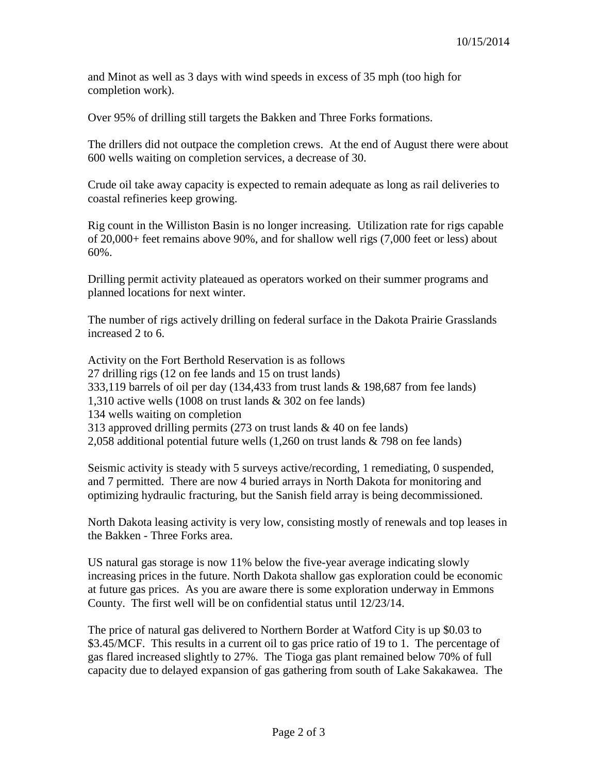and Minot as well as 3 days with wind speeds in excess of 35 mph (too high for completion work).

Over 95% of drilling still targets the Bakken and Three Forks formations.

The drillers did not outpace the completion crews. At the end of August there were about 600 wells waiting on completion services, a decrease of 30.

Crude oil take away capacity is expected to remain adequate as long as rail deliveries to coastal refineries keep growing.

Rig count in the Williston Basin is no longer increasing. Utilization rate for rigs capable of 20,000+ feet remains above 90%, and for shallow well rigs (7,000 feet or less) about 60%.

Drilling permit activity plateaued as operators worked on their summer programs and planned locations for next winter.

The number of rigs actively drilling on federal surface in the Dakota Prairie Grasslands increased 2 to 6.

Activity on the Fort Berthold Reservation is as follows 27 drilling rigs (12 on fee lands and 15 on trust lands) 333,119 barrels of oil per day (134,433 from trust lands & 198,687 from fee lands) 1,310 active wells (1008 on trust lands & 302 on fee lands) 134 wells waiting on completion 313 approved drilling permits (273 on trust lands & 40 on fee lands) 2,058 additional potential future wells (1,260 on trust lands & 798 on fee lands)

Seismic activity is steady with 5 surveys active/recording, 1 remediating, 0 suspended, and 7 permitted. There are now 4 buried arrays in North Dakota for monitoring and optimizing hydraulic fracturing, but the Sanish field array is being decommissioned.

North Dakota leasing activity is very low, consisting mostly of renewals and top leases in the Bakken - Three Forks area.

US natural gas storage is now 11% below the five-year average indicating slowly increasing prices in the future. North Dakota shallow gas exploration could be economic at future gas prices. As you are aware there is some exploration underway in Emmons County. The first well will be on confidential status until 12/23/14.

The price of natural gas delivered to Northern Border at Watford City is up \$0.03 to \$3.45/MCF. This results in a current oil to gas price ratio of 19 to 1. The percentage of gas flared increased slightly to 27%. The Tioga gas plant remained below 70% of full capacity due to delayed expansion of gas gathering from south of Lake Sakakawea. The